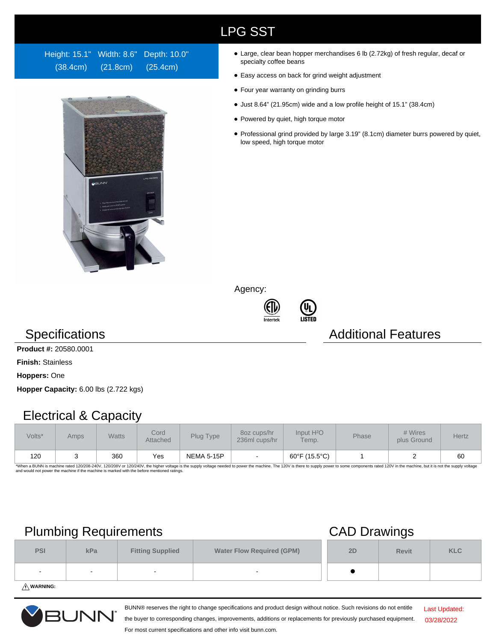## LPG SST

Height: 15.1" Width: 8.6" Depth: 10.0" (38.4cm) (21.8cm) (25.4cm)



- Large, clear bean hopper merchandises 6 lb (2.72kg) of fresh regular, decaf or specialty coffee beans
- Easy access on back for grind weight adjustment
- Four year warranty on grinding burrs
- Just 8.64" (21.95cm) wide and a low profile height of 15.1" (38.4cm)
- Powered by quiet, high torque motor
- Professional grind provided by large 3.19" (8.1cm) diameter burrs powered by quiet, low speed, high torque motor

Agency:





### **Specifications Additional Features**

**Product #:** 20580.0001

**Finish:** Stainless

**Hoppers:** One

**Hopper Capacity:** 6.00 lbs (2.722 kgs)

### Electrical & Capacity

| Volts* | Amps | <b>Watts</b> | Cord<br>Attached | Plug Type         | 80z cups/hr<br>236ml cups/hr | Input H <sup>2</sup> O<br>Temp. | <b>Phase</b> | # Wires<br>plus Ground | <b>Hertz</b> |
|--------|------|--------------|------------------|-------------------|------------------------------|---------------------------------|--------------|------------------------|--------------|
| 120    |      | 360          | Yes              | <b>NEMA 5-15P</b> |                              | 60°F (15.5°C)                   |              |                        | 60           |

\*When a BUNN is machine rated 120/208-240V, 120/208V or 120/240V, the higher voltage is the supply voltage needed to power the machine. The 120V is there to supply power to some components rated 120V in the machine, but it

### Plumbing Requirements CAD Drawings

|            | $\overline{\phantom{a}}$       |                          | -                                |    |              |            |
|------------|--------------------------------|--------------------------|----------------------------------|----|--------------|------------|
| <b>PSI</b> | kPa<br><b>Fitting Supplied</b> |                          | <b>Water Flow Required (GPM)</b> | 2D | <b>Revit</b> | <b>KLC</b> |
| $\,$ $\,$  | $\sim$                         | $\overline{\phantom{a}}$ | $\overline{\phantom{a}}$         |    |              |            |
|            |                                |                          |                                  |    |              |            |

**WARNING:**



BUNN® reserves the right to change specifications and product design without notice. Such revisions do not entitle

Last Updated: 03/28/2022

the buyer to corresponding changes, improvements, additions or replacements for previously purchased equipment. For most current specifications and other info visit bunn.com.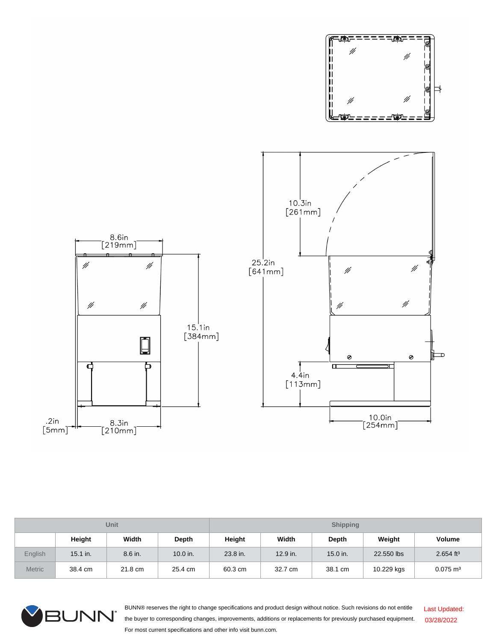

| Unit           |            |         |            | <b>Shipping</b> |          |          |            |                         |  |
|----------------|------------|---------|------------|-----------------|----------|----------|------------|-------------------------|--|
|                | Height     | Width   | Depth      | Height          | Width    | Depth    | Weight     | Volume                  |  |
| <b>English</b> | $15.1$ in. | 8.6 in. | $10.0$ in. | 23.8 in.        | 12.9 in. | 15.0 in. | 22,550 lbs | $2.654$ ft <sup>3</sup> |  |
| <b>Metric</b>  | 38.4 cm    | 21.8 cm | 25.4 cm    | 60.3 cm         | 32.7 cm  | 38.1 cm  | 10.229 kgs | $0.075 \text{ m}^3$     |  |



BUNN® reserves the right to change specifications and product design without notice. Such revisions do not entitle the buyer to corresponding changes, improvements, additions or replacements for previously purchased equipment. For most current specifications and other info visit bunn.com. Last Updated: 03/28/2022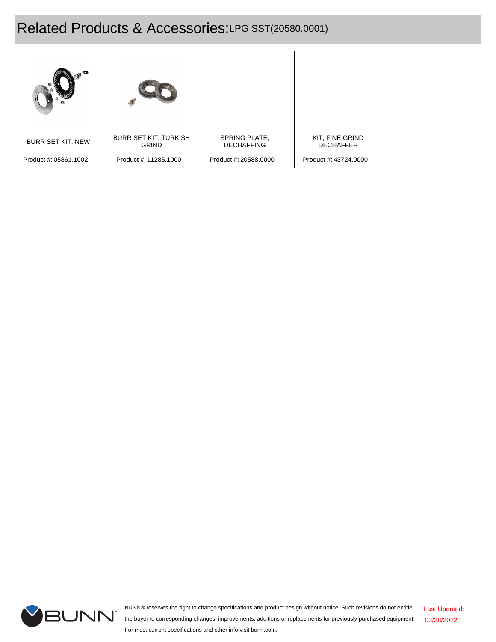# Related Products & Accessories:LPG SST(20580.0001)

| <b>BURR SET KIT, NEW</b> | <b>BURR SET KIT, TURKISH</b><br><b>GRIND</b> | SPRING PLATE,<br><b>DECHAFFING</b> | KIT, FINE GRIND<br><b>DECHAFFER</b> |
|--------------------------|----------------------------------------------|------------------------------------|-------------------------------------|
| Product #: 05861.1002    | Product #: 11285.1000                        | Product #: 20588.0000              | Product #: 43724,0000               |